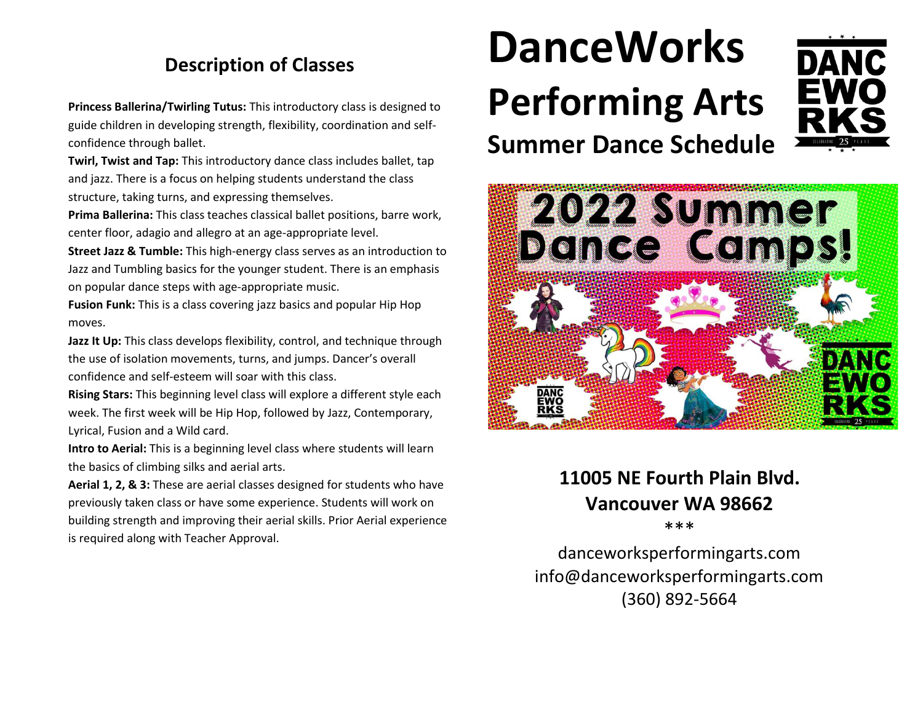# **Description of Classes**

**Princess Ballerina/Twirling Tutus:** This introductory class is designed to guide children in developing strength, flexibility, coordination and selfconfidence through ballet.

**Twirl, Twist and Tap:** This introductory dance class includes ballet, tap and jazz. There is a focus on helping students understand the class structure, taking turns, and expressing themselves.

**Prima Ballerina:** This class teaches classical ballet positions, barre work, center floor, adagio and allegro at an age-appropriate level.

**Street Jazz & Tumble:** This high-energy class serves as an introduction to Jazz and Tumbling basics for the younger student. There is an emphasis on popular dance steps with age-appropriate music.

**Fusion Funk:** This is a class covering jazz basics and popular Hip Hop moves.

Jazz It Up: This class develops flexibility, control, and technique through the use of isolation movements, turns, and jumps. Dancer's overall confidence and self-esteem will soar with this class.

**Rising Stars:** This beginning level class will explore a different style each week. The first week will be Hip Hop, followed by Jazz, Contemporary, Lyrical, Fusion and a Wild card.

**Intro to Aerial:** This is a beginning level class where students will learn the basics of climbing silks and aerial arts.

**Aerial 1, 2, & 3:** These are aerial classes designed for students who have previously taken class or have some experience. Students will work on building strength and improving their aerial skills. Prior Aerial experience is required along with Teacher Approval.

# **DanceWorks Performing Arts Summer Dance Schedule**





### **11005 NE Fourth Plain Blvd. Vancouver WA 98662** \*\*\*

danceworksperformingarts.com info@danceworksperformingarts.com (360) 892-5664